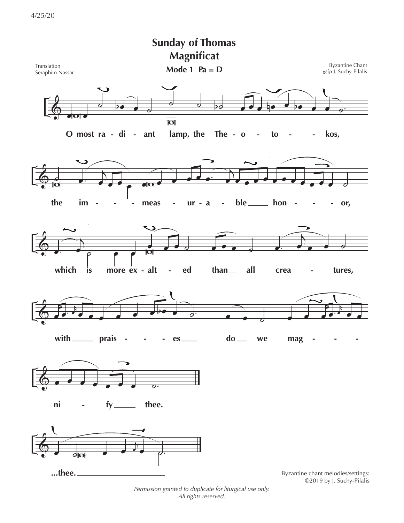

Permission granted to duplicate for liturgical use only. All rights reserved.